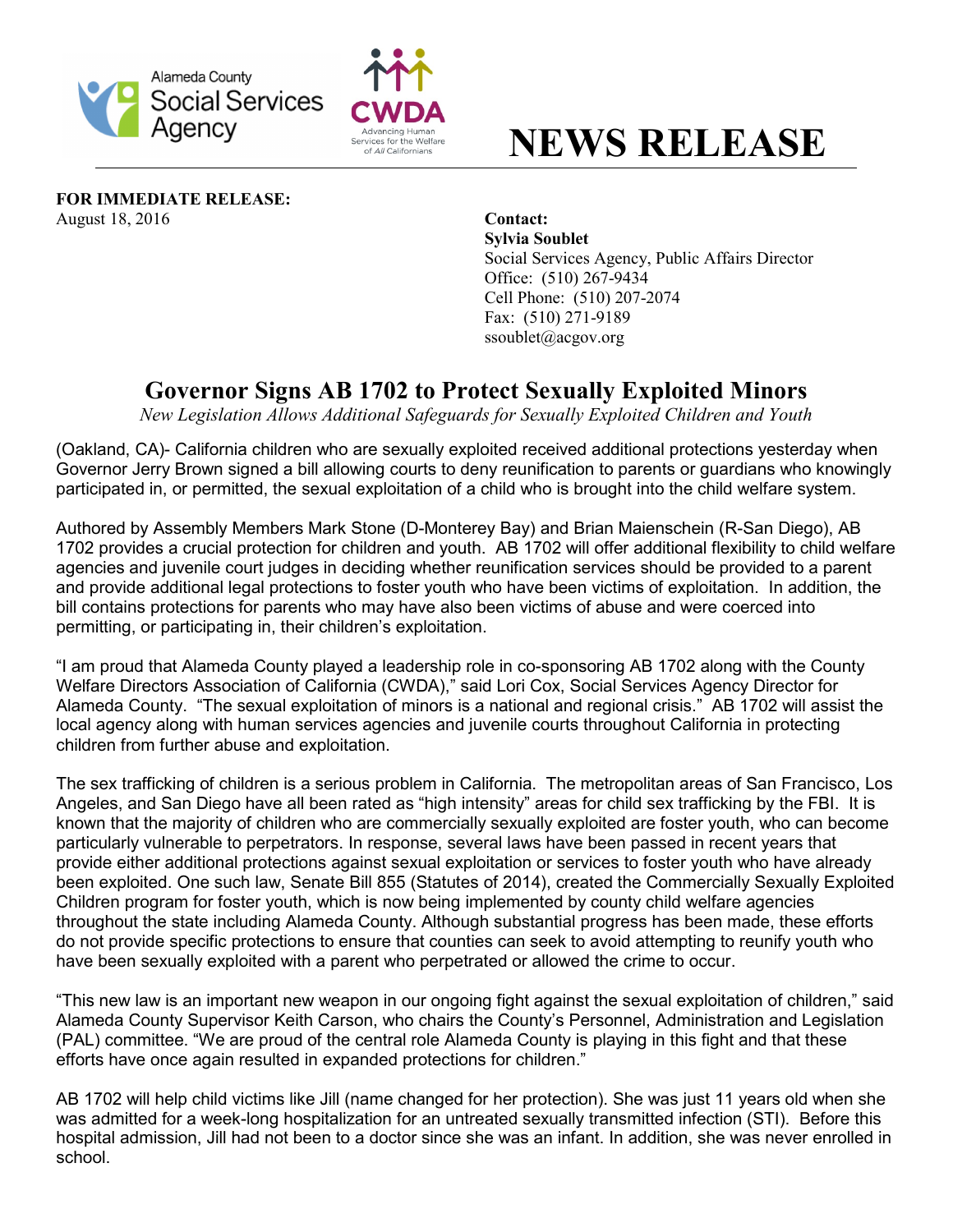



## **NEWS RELEASE**

**FOR IMMEDIATE RELEASE:** August 18, 2016 **Contact:**

**Sylvia Soublet**  Social Services Agency, Public Affairs Director Office: (510) 267-9434 Cell Phone: (510) 207-2074 Fax: (510) 271-9189 ssoublet@acgov.org

## **Governor Signs AB 1702 to Protect Sexually Exploited Minors**

*New Legislation Allows Additional Safeguards for Sexually Exploited Children and Youth*

(Oakland, CA)- California children who are sexually exploited received additional protections yesterday when Governor Jerry Brown signed a bill allowing courts to deny reunification to parents or guardians who knowingly participated in, or permitted, the sexual exploitation of a child who is brought into the child welfare system.

Authored by Assembly Members Mark Stone (D-Monterey Bay) and Brian Maienschein (R-San Diego), AB 1702 provides a crucial protection for children and youth. AB 1702 will offer additional flexibility to child welfare agencies and juvenile court judges in deciding whether reunification services should be provided to a parent and provide additional legal protections to foster youth who have been victims of exploitation. In addition, the bill contains protections for parents who may have also been victims of abuse and were coerced into permitting, or participating in, their children's exploitation.

"I am proud that Alameda County played a leadership role in co-sponsoring AB 1702 along with the County Welfare Directors Association of California (CWDA)," said Lori Cox, Social Services Agency Director for Alameda County. "The sexual exploitation of minors is a national and regional crisis." AB 1702 will assist the local agency along with human services agencies and juvenile courts throughout California in protecting children from further abuse and exploitation.

The sex trafficking of children is a serious problem in California. The metropolitan areas of San Francisco, Los Angeles, and San Diego have all been rated as "high intensity" areas for child sex trafficking by the FBI. It is known that the majority of children who are commercially sexually exploited are foster youth, who can become particularly vulnerable to perpetrators. In response, several laws have been passed in recent years that provide either additional protections against sexual exploitation or services to foster youth who have already been exploited. One such law, Senate Bill 855 (Statutes of 2014), created the Commercially Sexually Exploited Children program for foster youth, which is now being implemented by county child welfare agencies throughout the state including Alameda County. Although substantial progress has been made, these efforts do not provide specific protections to ensure that counties can seek to avoid attempting to reunify youth who have been sexually exploited with a parent who perpetrated or allowed the crime to occur.

"This new law is an important new weapon in our ongoing fight against the sexual exploitation of children," said Alameda County Supervisor Keith Carson, who chairs the County's Personnel, Administration and Legislation (PAL) committee. "We are proud of the central role Alameda County is playing in this fight and that these efforts have once again resulted in expanded protections for children."

AB 1702 will help child victims like Jill (name changed for her protection). She was just 11 years old when she was admitted for a week-long hospitalization for an untreated sexually transmitted infection (STI). Before this hospital admission, Jill had not been to a doctor since she was an infant. In addition, she was never enrolled in school.